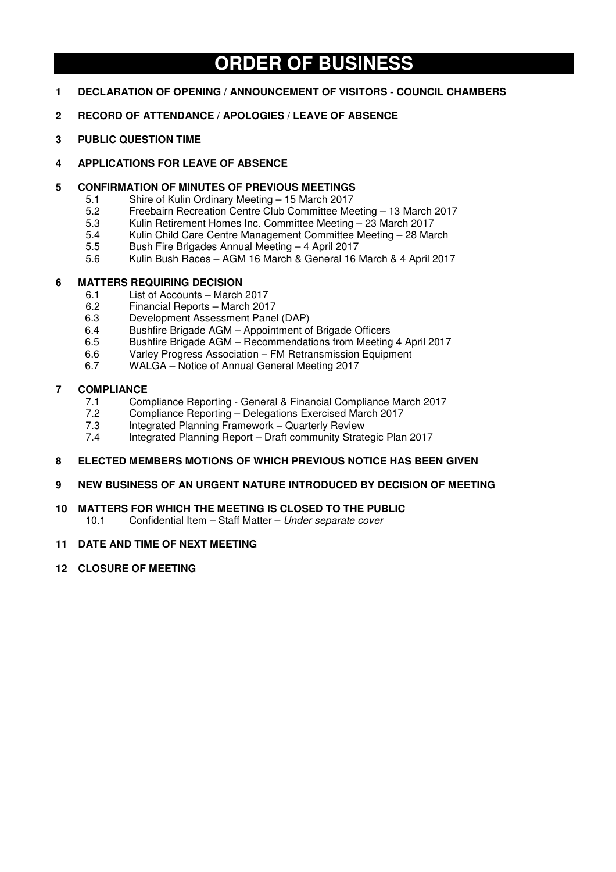# **ORDER OF BUSINESS**

- **1 DECLARATION OF OPENING / ANNOUNCEMENT OF VISITORS COUNCIL CHAMBERS**
- **2 RECORD OF ATTENDANCE / APOLOGIES / LEAVE OF ABSENCE**
- **3 PUBLIC QUESTION TIME**

## **4 APPLICATIONS FOR LEAVE OF ABSENCE**

- **5 CONFIRMATION OF MINUTES OF PREVIOUS MEETINGS** 
	- 5.1 Shire of Kulin Ordinary Meeting 15 March 2017<br>5.2 Freebairn Recreation Centre Club Committee Me
	- 5.2 Freebairn Recreation Centre Club Committee Meeting 13 March 2017
	- 5.3 Kulin Retirement Homes Inc. Committee Meeting 23 March 2017
	- 5.4 Kulin Child Care Centre Management Committee Meeting 28 March
	- 5.5 Bush Fire Brigades Annual Meeting 4 April 2017
	- 5.6 Kulin Bush Races AGM 16 March & General 16 March & 4 April 2017

## **6 MATTERS REQUIRING DECISION**

- 6.1 List of Accounts March 2017<br>6.2 Financial Reports March 201
- 6.2 Financial Reports March 2017
- 6.3 Development Assessment Panel (DAP)
- 6.4 Bushfire Brigade AGM Appointment of Brigade Officers
- 6.5 Bushfire Brigade AGM Recommendations from Meeting 4 April 2017
- 6.6 Varley Progress Association FM Retransmission Equipment
- 6.7 WALGA Notice of Annual General Meeting 2017

## **7 COMPLIANCE**

- 7.1 Compliance Reporting General & Financial Compliance March 2017<br>7.2 Compliance Reporting Delegations Exercised March 2017
- 7.2 Compliance Reporting Delegations Exercised March 2017<br>7.3 Integrated Planning Framework Quarterly Review
- 7.3 Integrated Planning Framework Quarterly Review<br>7.4 Integrated Planning Report Draft community Strate
- 7.4 Integrated Planning Report Draft community Strategic Plan 2017

## **8 ELECTED MEMBERS MOTIONS OF WHICH PREVIOUS NOTICE HAS BEEN GIVEN**

## **9 NEW BUSINESS OF AN URGENT NATURE INTRODUCED BY DECISION OF MEETING**

## **10 MATTERS FOR WHICH THE MEETING IS CLOSED TO THE PUBLIC**

10.1 Confidential Item – Staff Matter – *Under separate cover*

## **11 DATE AND TIME OF NEXT MEETING**

**12 CLOSURE OF MEETING**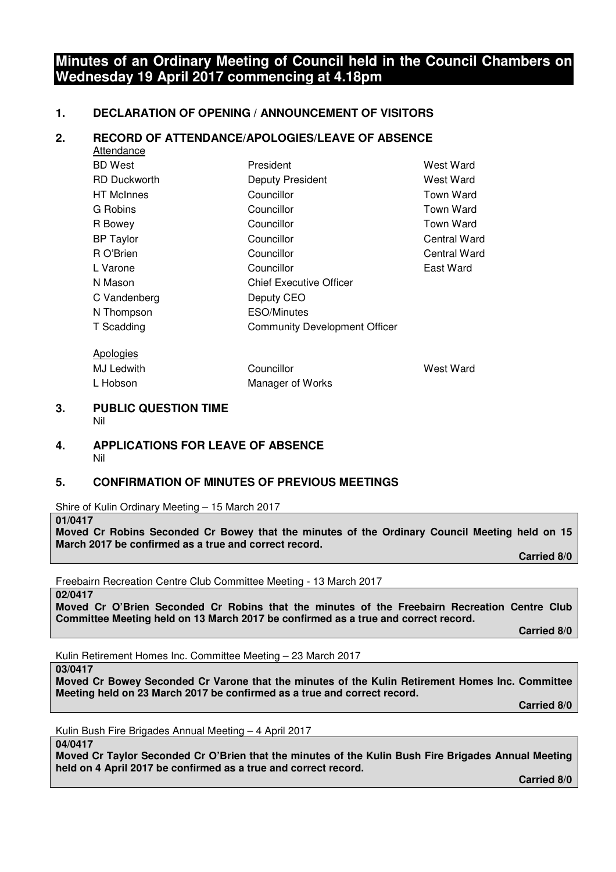## **Minutes of an Ordinary Meeting of Council held in the Council Chambers on Wednesday 19 April 2017 commencing at 4.18pm**

## **1. DECLARATION OF OPENING / ANNOUNCEMENT OF VISITORS**

## **2. RECORD OF ATTENDANCE/APOLOGIES/LEAVE OF ABSENCE**

| Attendance          |                                      |              |
|---------------------|--------------------------------------|--------------|
| <b>BD</b> West      | President                            | West Ward    |
| <b>RD Duckworth</b> | Deputy President                     | West Ward    |
| <b>HT</b> McInnes   | Councillor                           | Town Ward    |
| G Robins            | Councillor                           | Town Ward    |
| R Bowey             | Councillor                           | Town Ward    |
| <b>BP</b> Taylor    | Councillor                           | Central Ward |
| R O'Brien           | Councillor                           | Central Ward |
| L Varone            | Councillor                           | East Ward    |
| N Mason             | <b>Chief Executive Officer</b>       |              |
| C Vandenberg        | Deputy CEO                           |              |
| N Thompson          | ESO/Minutes                          |              |
| T Scadding          | <b>Community Development Officer</b> |              |
| Apologies           |                                      |              |

MJ Ledwith **Councillor** Councillor West Ward

#### **3. PUBLIC QUESTION TIME**  Nil

#### **4. APPLICATIONS FOR LEAVE OF ABSENCE**  Nil

## **5. CONFIRMATION OF MINUTES OF PREVIOUS MEETINGS**

L Hobson Manager of Works

Shire of Kulin Ordinary Meeting – 15 March 2017

**01/0417** 

**Moved Cr Robins Seconded Cr Bowey that the minutes of the Ordinary Council Meeting held on 15 March 2017 be confirmed as a true and correct record.** 

 **Carried 8/0** 

Freebairn Recreation Centre Club Committee Meeting - 13 March 2017

**02/0417** 

**Moved Cr O'Brien Seconded Cr Robins that the minutes of the Freebairn Recreation Centre Club Committee Meeting held on 13 March 2017 be confirmed as a true and correct record.** 

 **Carried 8/0** 

Kulin Retirement Homes Inc. Committee Meeting – 23 March 2017

**03/0417** 

**Moved Cr Bowey Seconded Cr Varone that the minutes of the Kulin Retirement Homes Inc. Committee Meeting held on 23 March 2017 be confirmed as a true and correct record.** 

 **Carried 8/0** 

Kulin Bush Fire Brigades Annual Meeting – 4 April 2017

**04/0417** 

**Moved Cr Taylor Seconded Cr O'Brien that the minutes of the Kulin Bush Fire Brigades Annual Meeting held on 4 April 2017 be confirmed as a true and correct record.** 

 **Carried 8/0**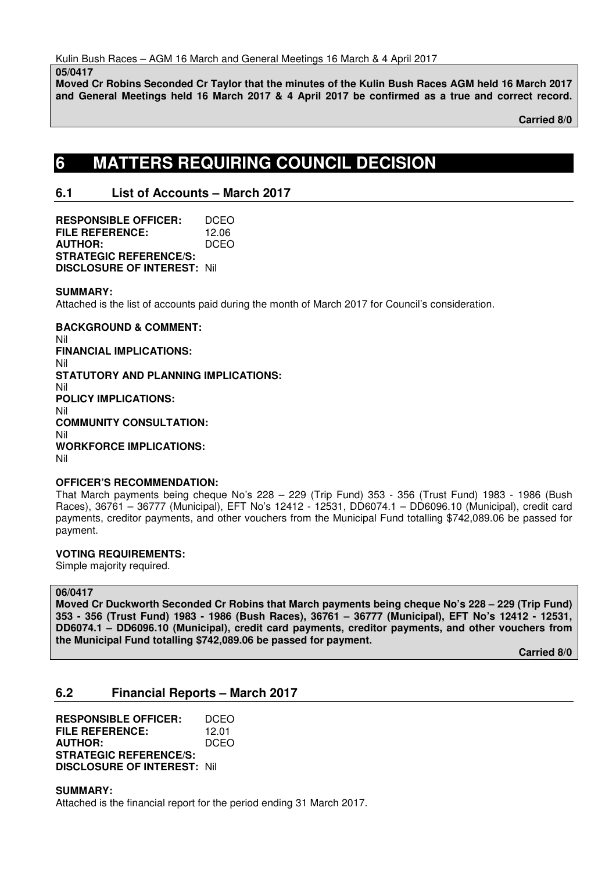**05/0417** 

**Moved Cr Robins Seconded Cr Taylor that the minutes of the Kulin Bush Races AGM held 16 March 2017 and General Meetings held 16 March 2017 & 4 April 2017 be confirmed as a true and correct record.**

 **Carried 8/0** 

# **6 MATTERS REQUIRING COUNCIL DECISION**

## **6.1 List of Accounts – March 2017**

**RESPONSIBLE OFFICER:** DCEO **FILE REFERENCE:** 12.06<br>**AUTHOR:** DCEO **AUTHOR: STRATEGIC REFERENCE/S: DISCLOSURE OF INTEREST:** Nil

## **SUMMARY:**

Attached is the list of accounts paid during the month of March 2017 for Council's consideration.

**BACKGROUND & COMMENT:**  Nil **FINANCIAL IMPLICATIONS:**  Nil **STATUTORY AND PLANNING IMPLICATIONS:**  Nil **POLICY IMPLICATIONS:**  Nil **COMMUNITY CONSULTATION:**  Nil **WORKFORCE IMPLICATIONS:**  Nil

## **OFFICER'S RECOMMENDATION:**

That March payments being cheque No's 228 – 229 (Trip Fund) 353 - 356 (Trust Fund) 1983 - 1986 (Bush Races), 36761 – 36777 (Municipal), EFT No's 12412 - 12531, DD6074.1 – DD6096.10 (Municipal), credit card payments, creditor payments, and other vouchers from the Municipal Fund totalling \$742,089.06 be passed for payment.

## **VOTING REQUIREMENTS:**

Simple majority required.

## **06/0417**

**Moved Cr Duckworth Seconded Cr Robins that March payments being cheque No's 228 – 229 (Trip Fund) 353 - 356 (Trust Fund) 1983 - 1986 (Bush Races), 36761 – 36777 (Municipal), EFT No's 12412 - 12531, DD6074.1 – DD6096.10 (Municipal), credit card payments, creditor payments, and other vouchers from the Municipal Fund totalling \$742,089.06 be passed for payment.** 

 **Carried 8/0** 

## **6.2 Financial Reports – March 2017**

**RESPONSIBLE OFFICER:** DCEO **FILE REFERENCE:** 12.01 **AUTHOR:** DCEO **STRATEGIC REFERENCE/S: DISCLOSURE OF INTEREST:** Nil

**SUMMARY:** 

Attached is the financial report for the period ending 31 March 2017.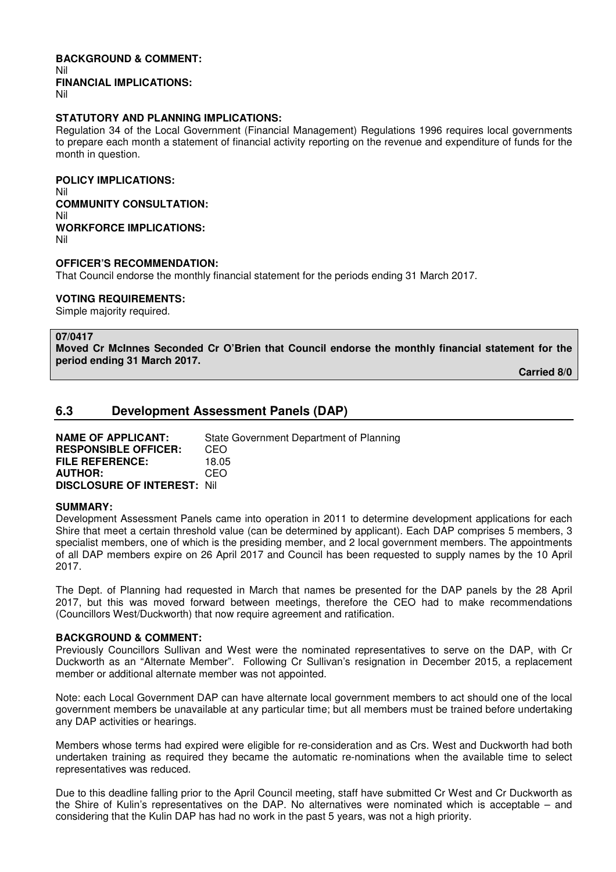## **BACKGROUND & COMMENT:**  Nil **FINANCIAL IMPLICATIONS:**

Nil

#### **STATUTORY AND PLANNING IMPLICATIONS:**

Regulation 34 of the Local Government (Financial Management) Regulations 1996 requires local governments to prepare each month a statement of financial activity reporting on the revenue and expenditure of funds for the month in question.

**POLICY IMPLICATIONS:**  Nil **COMMUNITY CONSULTATION:**  Nil **WORKFORCE IMPLICATIONS:**  Nil

#### **OFFICER'S RECOMMENDATION:**

That Council endorse the monthly financial statement for the periods ending 31 March 2017.

#### **VOTING REQUIREMENTS:**

Simple majority required.

#### **07/0417**

**Moved Cr McInnes Seconded Cr O'Brien that Council endorse the monthly financial statement for the period ending 31 March 2017.** 

 **Carried 8/0** 

## **6.3 Development Assessment Panels (DAP)**

| <b>NAME OF APPLICANT:</b>          | State Government Department of Planning |
|------------------------------------|-----------------------------------------|
| <b>RESPONSIBLE OFFICER:</b>        | CEO.                                    |
| <b>FILE REFERENCE:</b>             | 18.05                                   |
| <b>AUTHOR:</b>                     | CEO.                                    |
| <b>DISCLOSURE OF INTEREST: Nil</b> |                                         |

### **SUMMARY:**

Development Assessment Panels came into operation in 2011 to determine development applications for each Shire that meet a certain threshold value (can be determined by applicant). Each DAP comprises 5 members, 3 specialist members, one of which is the presiding member, and 2 local government members. The appointments of all DAP members expire on 26 April 2017 and Council has been requested to supply names by the 10 April 2017.

The Dept. of Planning had requested in March that names be presented for the DAP panels by the 28 April 2017, but this was moved forward between meetings, therefore the CEO had to make recommendations (Councillors West/Duckworth) that now require agreement and ratification.

#### **BACKGROUND & COMMENT:**

Previously Councillors Sullivan and West were the nominated representatives to serve on the DAP, with Cr Duckworth as an "Alternate Member". Following Cr Sullivan's resignation in December 2015, a replacement member or additional alternate member was not appointed.

Note: each Local Government DAP can have alternate local government members to act should one of the local government members be unavailable at any particular time; but all members must be trained before undertaking any DAP activities or hearings.

Members whose terms had expired were eligible for re-consideration and as Crs. West and Duckworth had both undertaken training as required they became the automatic re-nominations when the available time to select representatives was reduced.

Due to this deadline falling prior to the April Council meeting, staff have submitted Cr West and Cr Duckworth as the Shire of Kulin's representatives on the DAP. No alternatives were nominated which is acceptable – and considering that the Kulin DAP has had no work in the past 5 years, was not a high priority.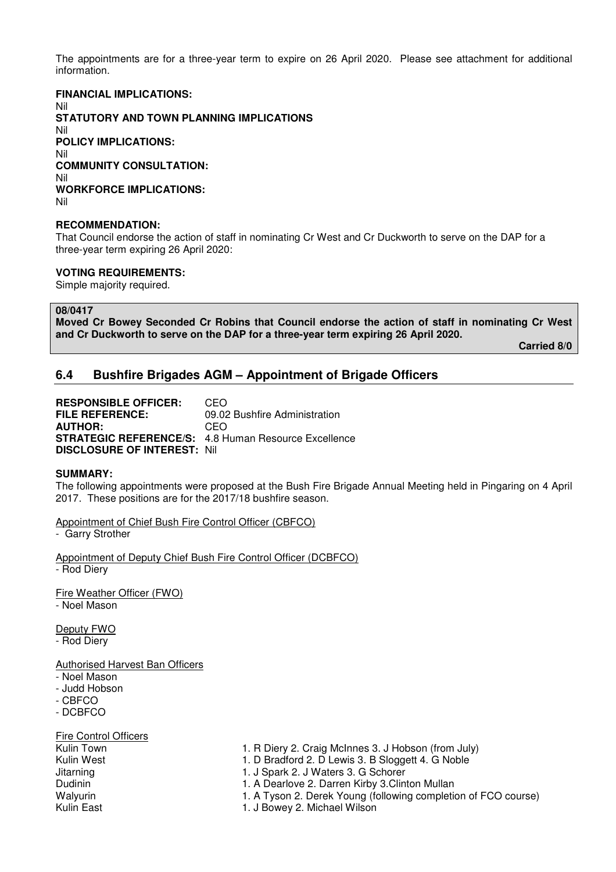The appointments are for a three-year term to expire on 26 April 2020. Please see attachment for additional information.

### **FINANCIAL IMPLICATIONS:**

Nil **STATUTORY AND TOWN PLANNING IMPLICATIONS**  Nil **POLICY IMPLICATIONS:** Nil **COMMUNITY CONSULTATION:** Nil **WORKFORCE IMPLICATIONS:** Nil

## **RECOMMENDATION:**

That Council endorse the action of staff in nominating Cr West and Cr Duckworth to serve on the DAP for a three-year term expiring 26 April 2020:

#### **VOTING REQUIREMENTS:**

Simple majority required.

#### **08/0417**

**Moved Cr Bowey Seconded Cr Robins that Council endorse the action of staff in nominating Cr West and Cr Duckworth to serve on the DAP for a three-year term expiring 26 April 2020.** 

 **Carried 8/0** 

## **6.4 Bushfire Brigades AGM – Appointment of Brigade Officers**

**RESPONSIBLE OFFICER:** CEO **FILE REFERENCE:** 09.02 Bushfire Administration **AUTHOR:** CEO **STRATEGIC REFERENCE/S:** 4.8 Human Resource Excellence **DISCLOSURE OF INTEREST:** Nil

#### **SUMMARY:**

The following appointments were proposed at the Bush Fire Brigade Annual Meeting held in Pingaring on 4 April 2017. These positions are for the 2017/18 bushfire season.

Appointment of Chief Bush Fire Control Officer (CBFCO) - Garry Strother

Appointment of Deputy Chief Bush Fire Control Officer (DCBFCO) - Rod Diery

Fire Weather Officer (FWO) - Noel Mason

Deputy FWO

- Rod Diery

Authorised Harvest Ban Officers

- Noel Mason
- Judd Hobson
- CBFCO
- DCBFCO

Fire Control Officers

Kulin Town 1. R Diery 2. Craig McInnes 3. J Hobson (from July)

Kulin West **1. D Bradford 2. D Lewis 3. B Sloggett 4. G Noble** 

Jitarning 1. J Spark 2. J Waters 3. G Schorer

Dudinin 1. A Dearlove 2. Darren Kirby 3.Clinton Mullan

Walyurin 1. A Tyson 2. Derek Young (following completion of FCO course)

Kulin East **1. J Bowey 2. Michael Wilson**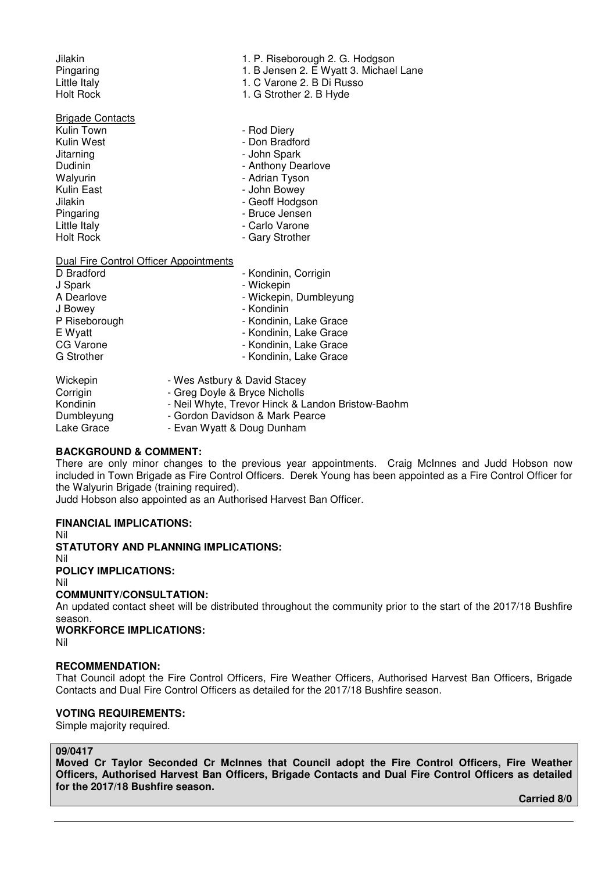# **Brigade Contacts**<br>Kulin Town

- Kulin Town<br>Kulin West **Authority Confluence Authority Confluence** Authority Pon Bradf Jitarning **- John Spark**<br>Dudinin - John Spark<br>- Anthony De Dudinin **- Anthony Dearlove**<br>
Walvurin - Adrian Tyson<br>
- Adrian Tyson Walyurin **Mathem Controller Control** Muslim Tyson<br>Kulin East **Adrian Control Muslim Control** - John Bowey Kulin East **- Access 19 You Amendment Contract Contract Contract Contract Contract Contract Contract Contract Contract Contract Contract Contract Contract Contract Contract Contract Contract Contract Contract Contract Cont** Jilakin - Geoff Hodgson - Geoff Hodgson<br>Pingaring - George - Grupo - Bruce Jensen Pingaring<br>
Little Italy<br>
Little Italy<br>
Little Italy<br>
Carlo Varone Little Italy - Carlo Varone
- Jilakin 1. P. Riseborough 2. G. Hodgson
- Pingaring 1. B Jensen 2. E Wyatt 3. Michael Lane<br>Little Italy 1. C Varone 2. B Di Russo
- Little Italy **1. C Varone 2. B Di Russo**<br>
Holt Rock **1. G Strother 2. B Hyde** 
	- 1. G Strother 2. B Hyde
	-
	- Don Bradford
	-
	-
	-
	-
	-
	-
	-
	- Gary Strother

#### Dual Fire Control Officer Appointments

| D Bradford        | - Kondinin, Corrigin   |
|-------------------|------------------------|
| J Spark           | - Wickepin             |
| A Dearlove        | - Wickepin, Dumbleyung |
| J Bowey           | - Kondinin             |
| P Riseborough     | - Kondinin, Lake Grace |
| E Wyatt           | - Kondinin, Lake Grace |
| CG Varone         | - Kondinin, Lake Grace |
| <b>G</b> Strother | - Kondinin, Lake Grace |
|                   |                        |

| Wickepin   | - Wes Astbury & David Stacey                      |
|------------|---------------------------------------------------|
| Corrigin   | - Greg Doyle & Bryce Nicholls                     |
| Kondinin   | - Neil Whyte, Trevor Hinck & Landon Bristow-Baohm |
| Dumbleyung | - Gordon Davidson & Mark Pearce                   |
| Lake Grace | - Evan Wyatt & Doug Dunham                        |

#### **BACKGROUND & COMMENT:**

There are only minor changes to the previous year appointments. Craig McInnes and Judd Hobson now included in Town Brigade as Fire Control Officers. Derek Young has been appointed as a Fire Control Officer for the Walyurin Brigade (training required).

Judd Hobson also appointed as an Authorised Harvest Ban Officer.

#### **FINANCIAL IMPLICATIONS:**

Nil

**STATUTORY AND PLANNING IMPLICATIONS:** 

Nil

**POLICY IMPLICATIONS:**  Nil

## **COMMUNITY/CONSULTATION:**

An updated contact sheet will be distributed throughout the community prior to the start of the 2017/18 Bushfire season.

## **WORKFORCE IMPLICATIONS:**

Nil

## **RECOMMENDATION:**

That Council adopt the Fire Control Officers, Fire Weather Officers, Authorised Harvest Ban Officers, Brigade Contacts and Dual Fire Control Officers as detailed for the 2017/18 Bushfire season.

## **VOTING REQUIREMENTS:**

Simple majority required.

#### **09/0417**

**Moved Cr Taylor Seconded Cr McInnes that Council adopt the Fire Control Officers, Fire Weather Officers, Authorised Harvest Ban Officers, Brigade Contacts and Dual Fire Control Officers as detailed for the 2017/18 Bushfire season.** 

 **Carried 8/0**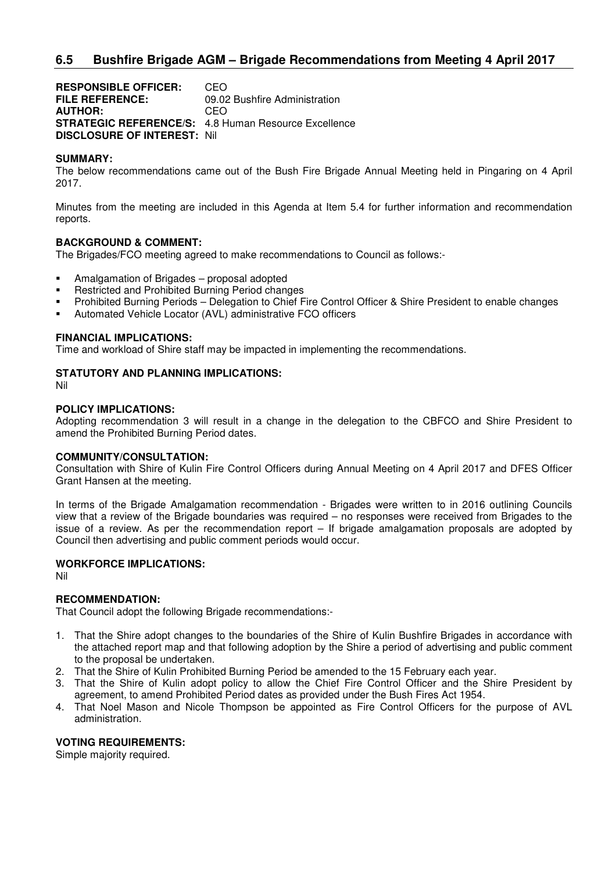## **6.5 Bushfire Brigade AGM – Brigade Recommendations from Meeting 4 April 2017**

**RESPONSIBLE OFFICER:** CEO **FILE REFERENCE:** 09.02 Bushfire Administration **AUTHOR:** CEO **STRATEGIC REFERENCE/S:** 4.8 Human Resource Excellence **DISCLOSURE OF INTEREST:** Nil

#### **SUMMARY:**

The below recommendations came out of the Bush Fire Brigade Annual Meeting held in Pingaring on 4 April 2017.

Minutes from the meeting are included in this Agenda at Item 5.4 for further information and recommendation reports.

#### **BACKGROUND & COMMENT:**

The Brigades/FCO meeting agreed to make recommendations to Council as follows:-

- Amalgamation of Brigades proposal adopted
- **Restricted and Prohibited Burning Period changes**
- Prohibited Burning Periods Delegation to Chief Fire Control Officer & Shire President to enable changes
- Automated Vehicle Locator (AVL) administrative FCO officers

#### **FINANCIAL IMPLICATIONS:**

Time and workload of Shire staff may be impacted in implementing the recommendations.

#### **STATUTORY AND PLANNING IMPLICATIONS:**

Nil

#### **POLICY IMPLICATIONS:**

Adopting recommendation 3 will result in a change in the delegation to the CBFCO and Shire President to amend the Prohibited Burning Period dates.

#### **COMMUNITY/CONSULTATION:**

Consultation with Shire of Kulin Fire Control Officers during Annual Meeting on 4 April 2017 and DFES Officer Grant Hansen at the meeting.

In terms of the Brigade Amalgamation recommendation - Brigades were written to in 2016 outlining Councils view that a review of the Brigade boundaries was required – no responses were received from Brigades to the issue of a review. As per the recommendation report – If brigade amalgamation proposals are adopted by Council then advertising and public comment periods would occur.

#### **WORKFORCE IMPLICATIONS:**

Nil

## **RECOMMENDATION:**

That Council adopt the following Brigade recommendations:-

- 1. That the Shire adopt changes to the boundaries of the Shire of Kulin Bushfire Brigades in accordance with the attached report map and that following adoption by the Shire a period of advertising and public comment to the proposal be undertaken.
- 2. That the Shire of Kulin Prohibited Burning Period be amended to the 15 February each year.
- 3. That the Shire of Kulin adopt policy to allow the Chief Fire Control Officer and the Shire President by agreement, to amend Prohibited Period dates as provided under the Bush Fires Act 1954.
- 4. That Noel Mason and Nicole Thompson be appointed as Fire Control Officers for the purpose of AVL administration.

### **VOTING REQUIREMENTS:**

Simple majority required.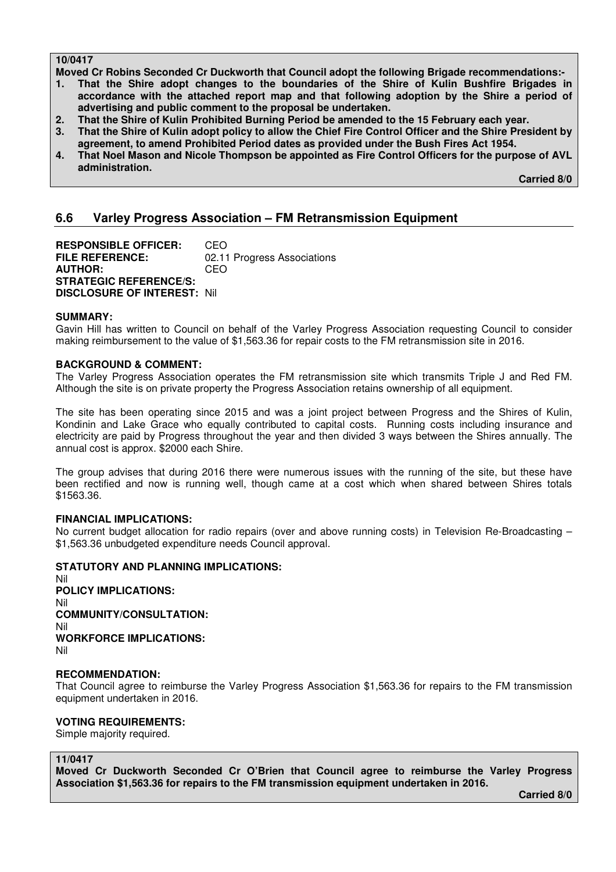## **10/0417**

**Moved Cr Robins Seconded Cr Duckworth that Council adopt the following Brigade recommendations:-** 

- **1. That the Shire adopt changes to the boundaries of the Shire of Kulin Bushfire Brigades in accordance with the attached report map and that following adoption by the Shire a period of advertising and public comment to the proposal be undertaken.**
- **2. That the Shire of Kulin Prohibited Burning Period be amended to the 15 February each year.**
- **3. That the Shire of Kulin adopt policy to allow the Chief Fire Control Officer and the Shire President by agreement, to amend Prohibited Period dates as provided under the Bush Fires Act 1954.**
- **4. That Noel Mason and Nicole Thompson be appointed as Fire Control Officers for the purpose of AVL administration.**

 **Carried 8/0** 

## **6.6 Varley Progress Association – FM Retransmission Equipment**

**RESPONSIBLE OFFICER:** CEO<br>FILE REFERENCE: 02.11 02.11 Progress Associations **AUTHOR:** CEO **STRATEGIC REFERENCE/S: DISCLOSURE OF INTEREST:** Nil

## **SUMMARY:**

Gavin Hill has written to Council on behalf of the Varley Progress Association requesting Council to consider making reimbursement to the value of \$1,563.36 for repair costs to the FM retransmission site in 2016.

#### **BACKGROUND & COMMENT:**

The Varley Progress Association operates the FM retransmission site which transmits Triple J and Red FM. Although the site is on private property the Progress Association retains ownership of all equipment.

The site has been operating since 2015 and was a joint project between Progress and the Shires of Kulin, Kondinin and Lake Grace who equally contributed to capital costs. Running costs including insurance and electricity are paid by Progress throughout the year and then divided 3 ways between the Shires annually. The annual cost is approx. \$2000 each Shire.

The group advises that during 2016 there were numerous issues with the running of the site, but these have been rectified and now is running well, though came at a cost which when shared between Shires totals \$1563.36.

#### **FINANCIAL IMPLICATIONS:**

No current budget allocation for radio repairs (over and above running costs) in Television Re-Broadcasting – \$1,563.36 unbudgeted expenditure needs Council approval.

## **STATUTORY AND PLANNING IMPLICATIONS:**

Nil **POLICY IMPLICATIONS:**  Nil **COMMUNITY/CONSULTATION:**  Nil **WORKFORCE IMPLICATIONS:**  Nil

#### **RECOMMENDATION:**

That Council agree to reimburse the Varley Progress Association \$1,563.36 for repairs to the FM transmission equipment undertaken in 2016.

## **VOTING REQUIREMENTS:**

Simple majority required.

#### **11/0417**

**Moved Cr Duckworth Seconded Cr O'Brien that Council agree to reimburse the Varley Progress Association \$1,563.36 for repairs to the FM transmission equipment undertaken in 2016.** 

 **Carried 8/0**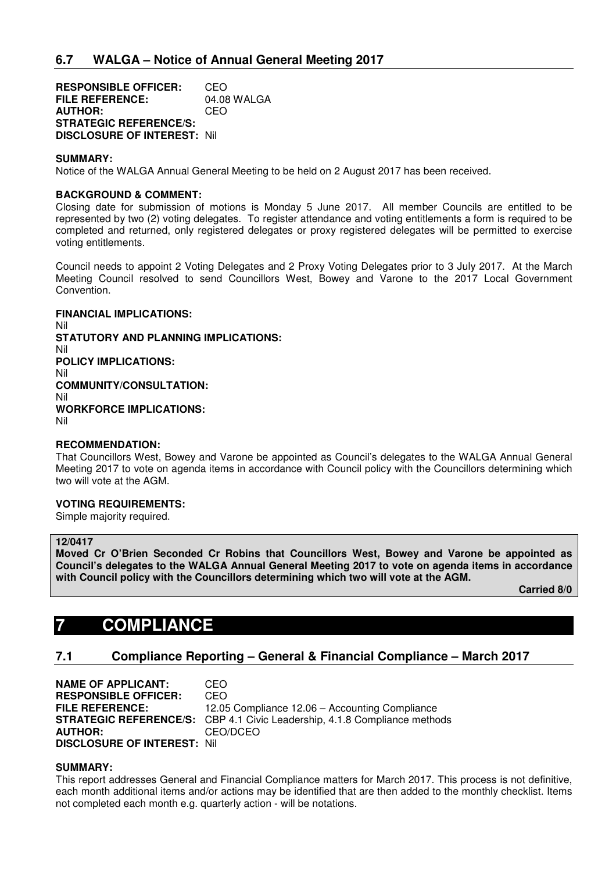**RESPONSIBLE OFFICER:** CEO<br>**FILE REFERENCE:** 04.08 WALGA **FILE REFERENCE: AUTHOR:** CEO **STRATEGIC REFERENCE/S: DISCLOSURE OF INTEREST:** Nil

#### **SUMMARY:**

Notice of the WALGA Annual General Meeting to be held on 2 August 2017 has been received.

#### **BACKGROUND & COMMENT:**

Closing date for submission of motions is Monday 5 June 2017. All member Councils are entitled to be represented by two (2) voting delegates. To register attendance and voting entitlements a form is required to be completed and returned, only registered delegates or proxy registered delegates will be permitted to exercise voting entitlements.

Council needs to appoint 2 Voting Delegates and 2 Proxy Voting Delegates prior to 3 July 2017. At the March Meeting Council resolved to send Councillors West, Bowey and Varone to the 2017 Local Government Convention.

**FINANCIAL IMPLICATIONS:**  Nil **STATUTORY AND PLANNING IMPLICATIONS:**  Nil **POLICY IMPLICATIONS:**  Nil **COMMUNITY/CONSULTATION:**  Nil **WORKFORCE IMPLICATIONS:**  Nil

#### **RECOMMENDATION:**

That Councillors West, Bowey and Varone be appointed as Council's delegates to the WALGA Annual General Meeting 2017 to vote on agenda items in accordance with Council policy with the Councillors determining which two will vote at the AGM.

#### **VOTING REQUIREMENTS:**

Simple majority required.

#### **12/0417**

**Moved Cr O'Brien Seconded Cr Robins that Councillors West, Bowey and Varone be appointed as Council's delegates to the WALGA Annual General Meeting 2017 to vote on agenda items in accordance with Council policy with the Councillors determining which two will vote at the AGM.** 

 **Carried 8/0** 

# **7 COMPLIANCE**

## **7.1 Compliance Reporting – General & Financial Compliance – March 2017**

**NAME OF APPLICANT:** CEO **RESPONSIBLE OFFICER:** CEO<br>**FILE REFERENCE:** 12.05 12.05 Compliance 12.06 – Accounting Compliance **STRATEGIC REFERENCE/S:** CBP 4.1 Civic Leadership, 4.1.8 Compliance methods **AUTHOR:** CEO/DCEO **DISCLOSURE OF INTEREST:** Nil

#### **SUMMARY:**

This report addresses General and Financial Compliance matters for March 2017. This process is not definitive, each month additional items and/or actions may be identified that are then added to the monthly checklist. Items not completed each month e.g. quarterly action - will be notations.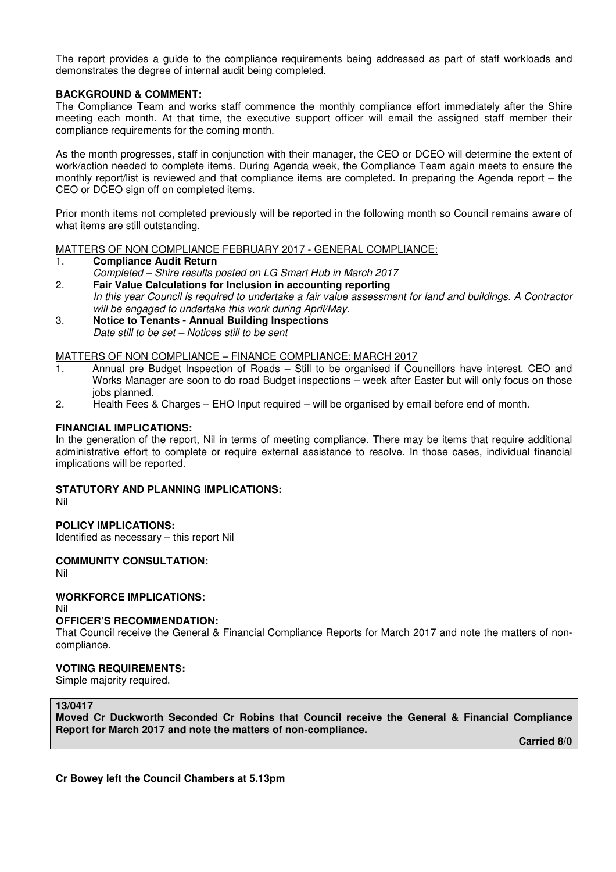The report provides a guide to the compliance requirements being addressed as part of staff workloads and demonstrates the degree of internal audit being completed.

## **BACKGROUND & COMMENT:**

The Compliance Team and works staff commence the monthly compliance effort immediately after the Shire meeting each month. At that time, the executive support officer will email the assigned staff member their compliance requirements for the coming month.

As the month progresses, staff in conjunction with their manager, the CEO or DCEO will determine the extent of work/action needed to complete items. During Agenda week, the Compliance Team again meets to ensure the monthly report/list is reviewed and that compliance items are completed. In preparing the Agenda report – the CEO or DCEO sign off on completed items.

Prior month items not completed previously will be reported in the following month so Council remains aware of what items are still outstanding.

#### MATTERS OF NON COMPLIANCE FEBRUARY 2017 - GENERAL COMPLIANCE:

#### 1. **Compliance Audit Return**

- *Completed Shire results posted on LG Smart Hub in March 2017*
- 2. **Fair Value Calculations for Inclusion in accounting reporting**  *In this year Council is required to undertake a fair value assessment for land and buildings. A Contractor will be engaged to undertake this work during April/May.*
- 3. **Notice to Tenants Annual Building Inspections**  *Date still to be set – Notices still to be sent*

#### MATTERS OF NON COMPLIANCE – FINANCE COMPLIANCE: MARCH 2017

- 1. Annual pre Budget Inspection of Roads Still to be organised if Councillors have interest. CEO and Works Manager are soon to do road Budget inspections – week after Easter but will only focus on those jobs planned.
- 2. Health Fees & Charges EHO Input required will be organised by email before end of month.

## **FINANCIAL IMPLICATIONS:**

In the generation of the report, Nil in terms of meeting compliance. There may be items that require additional administrative effort to complete or require external assistance to resolve. In those cases, individual financial implications will be reported.

#### **STATUTORY AND PLANNING IMPLICATIONS:**

Nil

## **POLICY IMPLICATIONS:**

Identified as necessary – this report Nil

## **COMMUNITY CONSULTATION:**

Nil

## **WORKFORCE IMPLICATIONS:**

Nil

## **OFFICER'S RECOMMENDATION:**

That Council receive the General & Financial Compliance Reports for March 2017 and note the matters of noncompliance.

## **VOTING REQUIREMENTS:**

Simple majority required.

#### **13/0417**

**Moved Cr Duckworth Seconded Cr Robins that Council receive the General & Financial Compliance Report for March 2017 and note the matters of non-compliance.** 

 **Carried 8/0** 

**Cr Bowey left the Council Chambers at 5.13pm**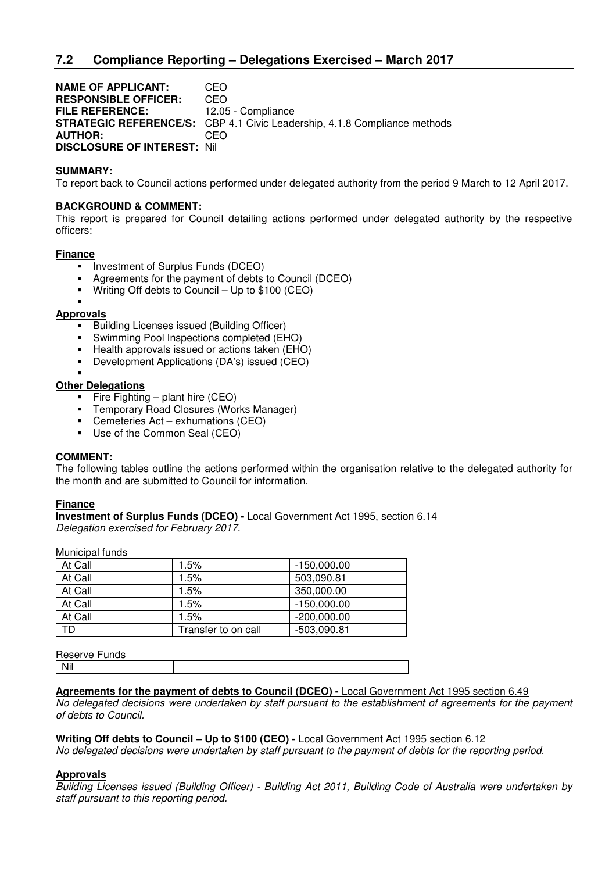## **7.2 Compliance Reporting – Delegations Exercised – March 2017**

**NAME OF APPLICANT:** CEO **RESPONSIBLE OFFICER:** CEO **FILE REFERENCE:** 12.05 - Compliance **STRATEGIC REFERENCE/S:** CBP 4.1 Civic Leadership, 4.1.8 Compliance methods **AUTHOR:** CEO **DISCLOSURE OF INTEREST:** Nil

#### **SUMMARY:**

To report back to Council actions performed under delegated authority from the period 9 March to 12 April 2017.

#### **BACKGROUND & COMMENT:**

This report is prepared for Council detailing actions performed under delegated authority by the respective officers:

#### **Finance**

- **Investment of Surplus Funds (DCEO)**
- Agreements for the payment of debts to Council (DCEO)
- Writing Off debts to Council Up to \$100 (CEO)

## ×,

- **Approvals** 
	- **Building Licenses issued (Building Officer)**
	- Swimming Pool Inspections completed (EHO)
	- Health approvals issued or actions taken (EHO)
	- Development Applications (DA's) issued (CEO)
	- ×,

#### **Other Delegations**

- Fire Fighting plant hire  $(CEO)$
- **F** Temporary Road Closures (Works Manager)
- Cemeteries Act exhumations (CEO)
- Use of the Common Seal (CEO)

#### **COMMENT:**

The following tables outline the actions performed within the organisation relative to the delegated authority for the month and are submitted to Council for information.

#### **Finance**

**Investment of Surplus Funds (DCEO) -** Local Government Act 1995, section 6.14 *Delegation exercised for February 2017.* 

Municipal funds

| At Call | 1.5%                | $-150,000.00$ |
|---------|---------------------|---------------|
| At Call | 1.5%                | 503,090.81    |
| At Call | 1.5%                | 350,000.00    |
| At Call | 1.5%                | $-150,000.00$ |
| At Call | 1.5%                | $-200,000.00$ |
| TD.     | Transfer to on call | $-503,090.81$ |

| Reserve Funds |  |
|---------------|--|
|               |  |

### **Agreements for the payment of debts to Council (DCEO) -** Local Government Act 1995 section 6.49

*No delegated decisions were undertaken by staff pursuant to the establishment of agreements for the payment of debts to Council.* 

**Writing Off debts to Council – Up to \$100 (CEO) -** Local Government Act 1995 section 6.12

*No delegated decisions were undertaken by staff pursuant to the payment of debts for the reporting period.* 

#### **Approvals**

*Building Licenses issued (Building Officer) - Building Act 2011, Building Code of Australia were undertaken by staff pursuant to this reporting period.*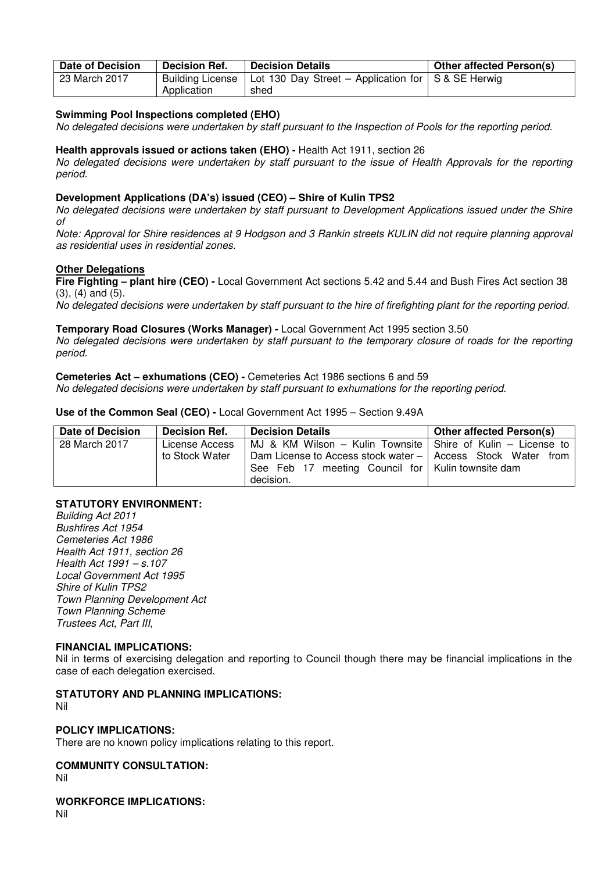| <b>Date of Decision</b> | Decision Ref.    | <b>Decision Details</b>                              | Other affected Person(s) |
|-------------------------|------------------|------------------------------------------------------|--------------------------|
| 23 March 2017           | Building License | Lot 130 Day Street – Application for   S & SE Herwig |                          |
|                         | Application      | shed                                                 |                          |

### **Swimming Pool Inspections completed (EHO)**

*No delegated decisions were undertaken by staff pursuant to the Inspection of Pools for the reporting period.* 

#### **Health approvals issued or actions taken (EHO) -** Health Act 1911, section 26

*No delegated decisions were undertaken by staff pursuant to the issue of Health Approvals for the reporting period.* 

## **Development Applications (DA's) issued (CEO) – Shire of Kulin TPS2**

*No delegated decisions were undertaken by staff pursuant to Development Applications issued under the Shire of* 

*Note: Approval for Shire residences at 9 Hodgson and 3 Rankin streets KULIN did not require planning approval as residential uses in residential zones.* 

#### **Other Delegations**

**Fire Fighting – plant hire (CEO) -** Local Government Act sections 5.42 and 5.44 and Bush Fires Act section 38 (3), (4) and (5).

*No delegated decisions were undertaken by staff pursuant to the hire of firefighting plant for the reporting period.* 

#### **Temporary Road Closures (Works Manager) -** Local Government Act 1995 section 3.50

*No delegated decisions were undertaken by staff pursuant to the temporary closure of roads for the reporting period.* 

#### **Cemeteries Act – exhumations (CEO) -** Cemeteries Act 1986 sections 6 and 59

*No delegated decisions were undertaken by staff pursuant to exhumations for the reporting period.* 

#### **Use of the Common Seal (CEO) -** Local Government Act 1995 – Section 9.49A

| Date of Decision | <b>Decision Ref.</b>             | <b>Decision Details</b>                                                                                                                                                                       | <b>Other affected Person(s)</b> |
|------------------|----------------------------------|-----------------------------------------------------------------------------------------------------------------------------------------------------------------------------------------------|---------------------------------|
| 28 March 2017    | License Access<br>to Stock Water | MJ & KM Wilson – Kulin Townsite   Shire of Kulin – License to<br>Dam License to Access stock water –   Access Stock Water<br>See Feb 17 meeting Council for   Kulin townsite dam<br>decision. | from                            |

## **STATUTORY ENVIRONMENT:**

*Building Act 2011 Bushfires Act 1954 Cemeteries Act 1986 Health Act 1911, section 26 Health Act 1991 – s.107 Local Government Act 1995 Shire of Kulin TPS2 Town Planning Development Act Town Planning Scheme Trustees Act, Part III,*

#### **FINANCIAL IMPLICATIONS:**

Nil in terms of exercising delegation and reporting to Council though there may be financial implications in the case of each delegation exercised.

## **STATUTORY AND PLANNING IMPLICATIONS:**

Nil

## **POLICY IMPLICATIONS:**

There are no known policy implications relating to this report.

### **COMMUNITY CONSULTATION:**

Nil

#### **WORKFORCE IMPLICATIONS:**

Nil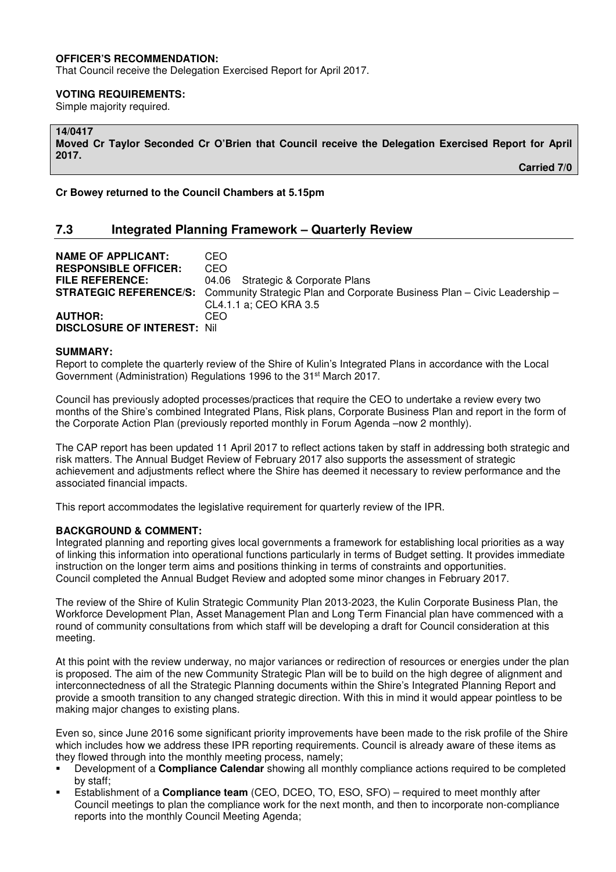## **OFFICER'S RECOMMENDATION:**

That Council receive the Delegation Exercised Report for April 2017.

#### **VOTING REQUIREMENTS:**

Simple majority required.

## **14/0417**

**Moved Cr Taylor Seconded Cr O'Brien that Council receive the Delegation Exercised Report for April 2017.** 

 **Carried 7/0** 

**Cr Bowey returned to the Council Chambers at 5.15pm**

## **7.3 Integrated Planning Framework – Quarterly Review**

| <b>NAME OF APPLICANT:</b>          | CEO                                                                                                     |
|------------------------------------|---------------------------------------------------------------------------------------------------------|
| <b>RESPONSIBLE OFFICER:</b>        | CEO.                                                                                                    |
| <b>FILE REFERENCE:</b>             | 04.06 Strategic & Corporate Plans                                                                       |
|                                    | <b>STRATEGIC REFERENCE/S:</b> Community Strategic Plan and Corporate Business Plan – Civic Leadership – |
|                                    | CL4.1.1 a: CEO KRA 3.5                                                                                  |
| <b>AUTHOR:</b>                     | CEO.                                                                                                    |
| <b>DISCLOSURE OF INTEREST: Nil</b> |                                                                                                         |

#### **SUMMARY:**

Report to complete the quarterly review of the Shire of Kulin's Integrated Plans in accordance with the Local Government (Administration) Regulations 1996 to the 31<sup>st</sup> March 2017.

Council has previously adopted processes/practices that require the CEO to undertake a review every two months of the Shire's combined Integrated Plans, Risk plans, Corporate Business Plan and report in the form of the Corporate Action Plan (previously reported monthly in Forum Agenda –now 2 monthly).

The CAP report has been updated 11 April 2017 to reflect actions taken by staff in addressing both strategic and risk matters. The Annual Budget Review of February 2017 also supports the assessment of strategic achievement and adjustments reflect where the Shire has deemed it necessary to review performance and the associated financial impacts.

This report accommodates the legislative requirement for quarterly review of the IPR.

#### **BACKGROUND & COMMENT:**

Integrated planning and reporting gives local governments a framework for establishing local priorities as a way of linking this information into operational functions particularly in terms of Budget setting. It provides immediate instruction on the longer term aims and positions thinking in terms of constraints and opportunities. Council completed the Annual Budget Review and adopted some minor changes in February 2017.

The review of the Shire of Kulin Strategic Community Plan 2013-2023, the Kulin Corporate Business Plan, the Workforce Development Plan, Asset Management Plan and Long Term Financial plan have commenced with a round of community consultations from which staff will be developing a draft for Council consideration at this meeting.

At this point with the review underway, no major variances or redirection of resources or energies under the plan is proposed. The aim of the new Community Strategic Plan will be to build on the high degree of alignment and interconnectedness of all the Strategic Planning documents within the Shire's Integrated Planning Report and provide a smooth transition to any changed strategic direction. With this in mind it would appear pointless to be making major changes to existing plans.

Even so, since June 2016 some significant priority improvements have been made to the risk profile of the Shire which includes how we address these IPR reporting requirements. Council is already aware of these items as they flowed through into the monthly meeting process, namely;

- Development of a **Compliance Calendar** showing all monthly compliance actions required to be completed by staff;
- Establishment of a **Compliance team** (CEO, DCEO, TO, ESO, SFO) required to meet monthly after Council meetings to plan the compliance work for the next month, and then to incorporate non-compliance reports into the monthly Council Meeting Agenda;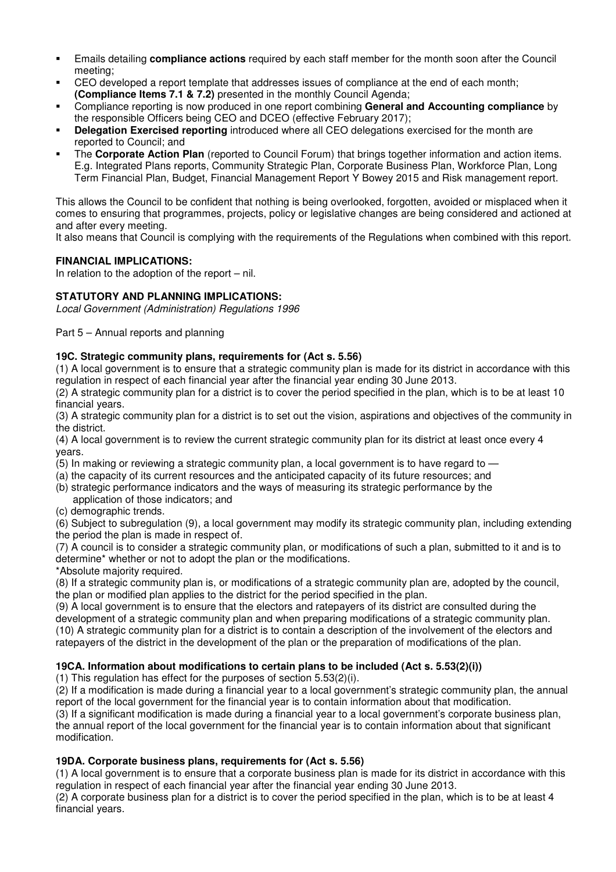- Emails detailing **compliance actions** required by each staff member for the month soon after the Council meeting;
- CEO developed a report template that addresses issues of compliance at the end of each month; **(Compliance Items 7.1 & 7.2)** presented in the monthly Council Agenda;
- Compliance reporting is now produced in one report combining **General and Accounting compliance** by the responsible Officers being CEO and DCEO (effective February 2017);
- **Delegation Exercised reporting** introduced where all CEO delegations exercised for the month are reported to Council; and
- The **Corporate Action Plan** (reported to Council Forum) that brings together information and action items. E.g. Integrated Plans reports, Community Strategic Plan, Corporate Business Plan, Workforce Plan, Long Term Financial Plan, Budget, Financial Management Report Y Bowey 2015 and Risk management report.

This allows the Council to be confident that nothing is being overlooked, forgotten, avoided or misplaced when it comes to ensuring that programmes, projects, policy or legislative changes are being considered and actioned at and after every meeting.

It also means that Council is complying with the requirements of the Regulations when combined with this report.

## **FINANCIAL IMPLICATIONS:**

In relation to the adoption of the report  $-$  nil.

## **STATUTORY AND PLANNING IMPLICATIONS:**

*Local Government (Administration) Regulations 1996* 

Part 5 – Annual reports and planning

## **19C. Strategic community plans, requirements for (Act s. 5.56)**

(1) A local government is to ensure that a strategic community plan is made for its district in accordance with this regulation in respect of each financial year after the financial year ending 30 June 2013.

(2) A strategic community plan for a district is to cover the period specified in the plan, which is to be at least 10 financial years.

(3) A strategic community plan for a district is to set out the vision, aspirations and objectives of the community in the district.

(4) A local government is to review the current strategic community plan for its district at least once every 4 years.

- (5) In making or reviewing a strategic community plan, a local government is to have regard to —
- (a) the capacity of its current resources and the anticipated capacity of its future resources; and
- (b) strategic performance indicators and the ways of measuring its strategic performance by the application of those indicators; and
- (c) demographic trends.

(6) Subject to subregulation (9), a local government may modify its strategic community plan, including extending the period the plan is made in respect of.

(7) A council is to consider a strategic community plan, or modifications of such a plan, submitted to it and is to determine\* whether or not to adopt the plan or the modifications.

\*Absolute majority required.

(8) If a strategic community plan is, or modifications of a strategic community plan are, adopted by the council, the plan or modified plan applies to the district for the period specified in the plan.

(9) A local government is to ensure that the electors and ratepayers of its district are consulted during the development of a strategic community plan and when preparing modifications of a strategic community plan. (10) A strategic community plan for a district is to contain a description of the involvement of the electors and ratepayers of the district in the development of the plan or the preparation of modifications of the plan.

## **19CA. Information about modifications to certain plans to be included (Act s. 5.53(2)(i))**

(1) This regulation has effect for the purposes of section 5.53(2)(i).

(2) If a modification is made during a financial year to a local government's strategic community plan, the annual report of the local government for the financial year is to contain information about that modification.

(3) If a significant modification is made during a financial year to a local government's corporate business plan, the annual report of the local government for the financial year is to contain information about that significant modification.

## **19DA. Corporate business plans, requirements for (Act s. 5.56)**

(1) A local government is to ensure that a corporate business plan is made for its district in accordance with this regulation in respect of each financial year after the financial year ending 30 June 2013.

(2) A corporate business plan for a district is to cover the period specified in the plan, which is to be at least 4 financial years.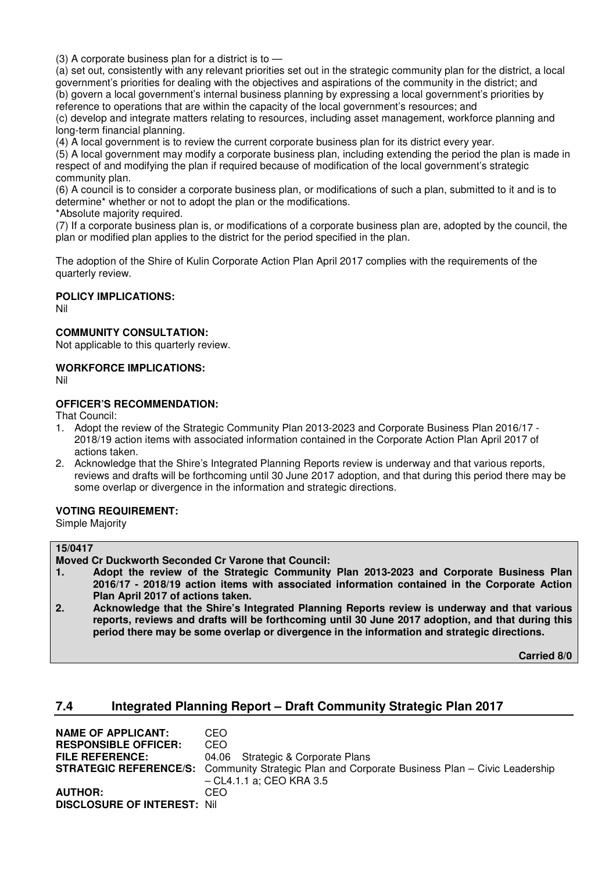(3) A corporate business plan for a district is to —

(a) set out, consistently with any relevant priorities set out in the strategic community plan for the district, a local government's priorities for dealing with the objectives and aspirations of the community in the district; and (b) govern a local government's internal business planning by expressing a local government's priorities by reference to operations that are within the capacity of the local government's resources; and

(c) develop and integrate matters relating to resources, including asset management, workforce planning and long-term financial planning.

(4) A local government is to review the current corporate business plan for its district every year.

(5) A local government may modify a corporate business plan, including extending the period the plan is made in respect of and modifying the plan if required because of modification of the local government's strategic community plan.

(6) A council is to consider a corporate business plan, or modifications of such a plan, submitted to it and is to determine\* whether or not to adopt the plan or the modifications.

\*Absolute majority required.

(7) If a corporate business plan is, or modifications of a corporate business plan are, adopted by the council, the plan or modified plan applies to the district for the period specified in the plan.

The adoption of the Shire of Kulin Corporate Action Plan April 2017 complies with the requirements of the quarterly review.

#### **POLICY IMPLICATIONS:**

Nil

#### **COMMUNITY CONSULTATION:**

Not applicable to this quarterly review.

#### **WORKFORCE IMPLICATIONS:**

Nil

## **OFFICER'S RECOMMENDATION:**

That Council:

- 1. Adopt the review of the Strategic Community Plan 2013-2023 and Corporate Business Plan 2016/17 2018/19 action items with associated information contained in the Corporate Action Plan April 2017 of actions taken.
- 2. Acknowledge that the Shire's Integrated Planning Reports review is underway and that various reports, reviews and drafts will be forthcoming until 30 June 2017 adoption, and that during this period there may be some overlap or divergence in the information and strategic directions.

#### **VOTING REQUIREMENT:**

Simple Majority

### **15/0417**

**Moved Cr Duckworth Seconded Cr Varone that Council:**

- **1. Adopt the review of the Strategic Community Plan 2013-2023 and Corporate Business Plan 2016/17 - 2018/19 action items with associated information contained in the Corporate Action Plan April 2017 of actions taken.**
- **2. Acknowledge that the Shire's Integrated Planning Reports review is underway and that various reports, reviews and drafts will be forthcoming until 30 June 2017 adoption, and that during this period there may be some overlap or divergence in the information and strategic directions.**

**Carried 8/0** 

## **7.4 Integrated Planning Report – Draft Community Strategic Plan 2017**

| CEO                                                                                                   |
|-------------------------------------------------------------------------------------------------------|
| CEO.                                                                                                  |
| 04.06 Strategic & Corporate Plans                                                                     |
| <b>STRATEGIC REFERENCE/S:</b> Community Strategic Plan and Corporate Business Plan – Civic Leadership |
| – CL4.1.1 a: CEO KRA 3.5                                                                              |
| CEO.                                                                                                  |
| <b>DISCLOSURE OF INTEREST: Nill</b>                                                                   |
|                                                                                                       |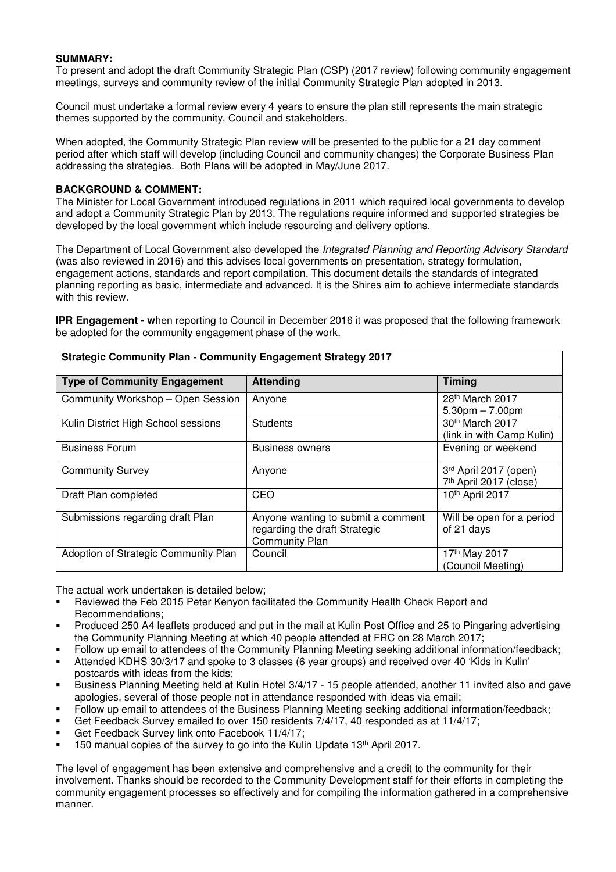### **SUMMARY:**

To present and adopt the draft Community Strategic Plan (CSP) (2017 review) following community engagement meetings, surveys and community review of the initial Community Strategic Plan adopted in 2013.

Council must undertake a formal review every 4 years to ensure the plan still represents the main strategic themes supported by the community, Council and stakeholders.

When adopted, the Community Strategic Plan review will be presented to the public for a 21 day comment period after which staff will develop (including Council and community changes) the Corporate Business Plan addressing the strategies. Both Plans will be adopted in May/June 2017.

#### **BACKGROUND & COMMENT:**

The Minister for Local Government introduced regulations in 2011 which required local governments to develop and adopt a Community Strategic Plan by 2013. The regulations require informed and supported strategies be developed by the local government which include resourcing and delivery options.

The Department of Local Government also developed the *Integrated Planning and Reporting Advisory Standard* (was also reviewed in 2016) and this advises local governments on presentation, strategy formulation, engagement actions, standards and report compilation. This document details the standards of integrated planning reporting as basic, intermediate and advanced. It is the Shires aim to achieve intermediate standards with this review.

**IPR Engagement - w**hen reporting to Council in December 2016 it was proposed that the following framework be adopted for the community engagement phase of the work.

| <b>Type of Community Engagement</b>  | <b>Attending</b>                                                                             | <b>Timing</b>                                    |
|--------------------------------------|----------------------------------------------------------------------------------------------|--------------------------------------------------|
| Community Workshop - Open Session    | Anyone                                                                                       | 28 <sup>th</sup> March 2017<br>$5.30pm - 7.00pm$ |
| Kulin District High School sessions  | <b>Students</b>                                                                              | 30th March 2017<br>(link in with Camp Kulin)     |
| <b>Business Forum</b>                | <b>Business owners</b>                                                                       | Evening or weekend                               |
| <b>Community Survey</b>              | Anyone                                                                                       | 3rd April 2017 (open)<br>7th April 2017 (close)  |
| Draft Plan completed                 | CEO                                                                                          | 10th April 2017                                  |
| Submissions regarding draft Plan     | Anyone wanting to submit a comment<br>regarding the draft Strategic<br><b>Community Plan</b> | Will be open for a period<br>of 21 days          |
| Adoption of Strategic Community Plan | Council                                                                                      | 17th May 2017<br>(Council Meeting)               |

**Strategic Community Plan - Community Engagement Strategy 2017**

The actual work undertaken is detailed below;

- Reviewed the Feb 2015 Peter Kenyon facilitated the Community Health Check Report and Recommendations;
- Produced 250 A4 leaflets produced and put in the mail at Kulin Post Office and 25 to Pingaring advertising the Community Planning Meeting at which 40 people attended at FRC on 28 March 2017;
- Follow up email to attendees of the Community Planning Meeting seeking additional information/feedback; Attended KDHS 30/3/17 and spoke to 3 classes (6 year groups) and received over 40 'Kids in Kulin'
- postcards with ideas from the kids; Business Planning Meeting held at Kulin Hotel 3/4/17 - 15 people attended, another 11 invited also and gave
- apologies, several of those people not in attendance responded with ideas via email;
- Follow up email to attendees of the Business Planning Meeting seeking additional information/feedback;
- Get Feedback Survey emailed to over 150 residents 7/4/17, 40 responded as at 11/4/17;
- Get Feedback Survey link onto Facebook 11/4/17;
- 150 manual copies of the survey to go into the Kulin Update 13<sup>th</sup> April 2017.

The level of engagement has been extensive and comprehensive and a credit to the community for their involvement. Thanks should be recorded to the Community Development staff for their efforts in completing the community engagement processes so effectively and for compiling the information gathered in a comprehensive manner.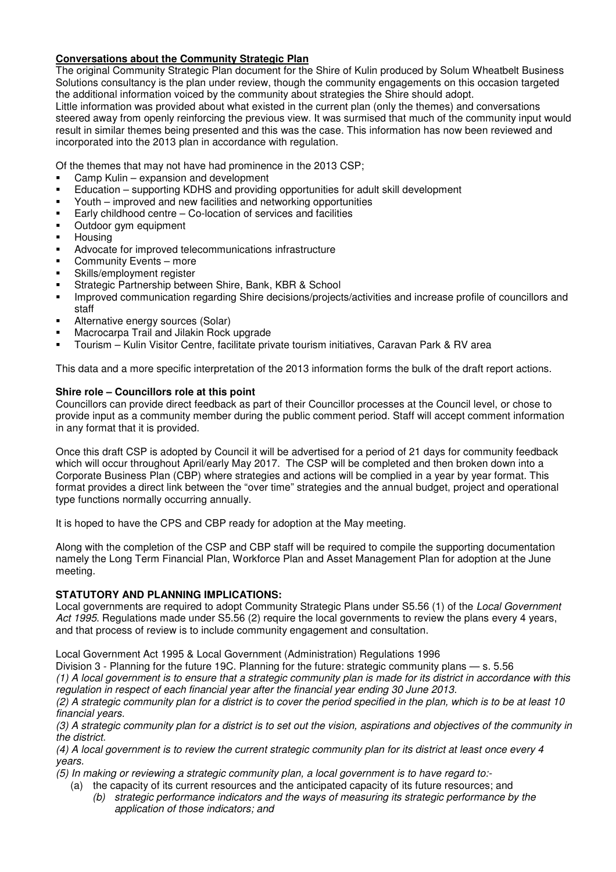## **Conversations about the Community Strategic Plan**

The original Community Strategic Plan document for the Shire of Kulin produced by Solum Wheatbelt Business Solutions consultancy is the plan under review, though the community engagements on this occasion targeted the additional information voiced by the community about strategies the Shire should adopt.

Little information was provided about what existed in the current plan (only the themes) and conversations steered away from openly reinforcing the previous view. It was surmised that much of the community input would result in similar themes being presented and this was the case. This information has now been reviewed and incorporated into the 2013 plan in accordance with regulation.

Of the themes that may not have had prominence in the 2013 CSP;

- Camp Kulin expansion and development
- Education supporting KDHS and providing opportunities for adult skill development
- Youth improved and new facilities and networking opportunities
- Early childhood centre Co-location of services and facilities
- Outdoor gym equipment
- **Housing**
- Advocate for improved telecommunications infrastructure
- Community Events more
- Skills/employment register
- Strategic Partnership between Shire, Bank, KBR & School
- Improved communication regarding Shire decisions/projects/activities and increase profile of councillors and staff
- Alternative energy sources (Solar)
- Macrocarpa Trail and Jilakin Rock upgrade
- Tourism Kulin Visitor Centre, facilitate private tourism initiatives, Caravan Park & RV area

This data and a more specific interpretation of the 2013 information forms the bulk of the draft report actions.

## **Shire role – Councillors role at this point**

Councillors can provide direct feedback as part of their Councillor processes at the Council level, or chose to provide input as a community member during the public comment period. Staff will accept comment information in any format that it is provided.

Once this draft CSP is adopted by Council it will be advertised for a period of 21 days for community feedback which will occur throughout April/early May 2017. The CSP will be completed and then broken down into a Corporate Business Plan (CBP) where strategies and actions will be complied in a year by year format. This format provides a direct link between the "over time" strategies and the annual budget, project and operational type functions normally occurring annually.

It is hoped to have the CPS and CBP ready for adoption at the May meeting.

Along with the completion of the CSP and CBP staff will be required to compile the supporting documentation namely the Long Term Financial Plan, Workforce Plan and Asset Management Plan for adoption at the June meeting.

## **STATUTORY AND PLANNING IMPLICATIONS:**

Local governments are required to adopt Community Strategic Plans under S5.56 (1) of the *Local Government Act 1995*. Regulations made under S5.56 (2) require the local governments to review the plans every 4 years, and that process of review is to include community engagement and consultation.

Local Government Act 1995 & Local Government (Administration) Regulations 1996

Division 3 - Planning for the future 19C. Planning for the future: strategic community plans — s. 5.56 *(1) A local government is to ensure that a strategic community plan is made for its district in accordance with this regulation in respect of each financial year after the financial year ending 30 June 2013.* 

*(2) A strategic community plan for a district is to cover the period specified in the plan, which is to be at least 10 financial years.* 

*(3) A strategic community plan for a district is to set out the vision, aspirations and objectives of the community in the district.* 

*(4) A local government is to review the current strategic community plan for its district at least once every 4 years.* 

*(5) In making or reviewing a strategic community plan, a local government is to have regard to:-* 

- (a) the capacity of its current resources and the anticipated capacity of its future resources; and
	- *(b) strategic performance indicators and the ways of measuring its strategic performance by the application of those indicators; and*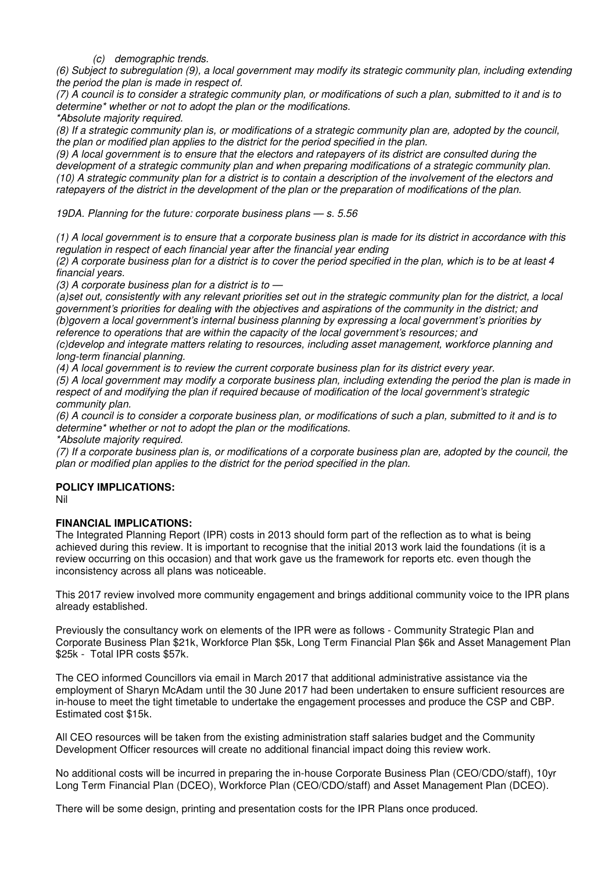*(c) demographic trends.* 

*(6) Subject to subregulation (9), a local government may modify its strategic community plan, including extending the period the plan is made in respect of.* 

*(7) A council is to consider a strategic community plan, or modifications of such a plan, submitted to it and is to determine\* whether or not to adopt the plan or the modifications.* 

*\*Absolute majority required.* 

*(8) If a strategic community plan is, or modifications of a strategic community plan are, adopted by the council, the plan or modified plan applies to the district for the period specified in the plan.* 

*(9) A local government is to ensure that the electors and ratepayers of its district are consulted during the development of a strategic community plan and when preparing modifications of a strategic community plan. (10) A strategic community plan for a district is to contain a description of the involvement of the electors and ratepayers of the district in the development of the plan or the preparation of modifications of the plan.* 

*19DA. Planning for the future: corporate business plans — s. 5.56* 

*(1) A local government is to ensure that a corporate business plan is made for its district in accordance with this regulation in respect of each financial year after the financial year ending* 

*(2) A corporate business plan for a district is to cover the period specified in the plan, which is to be at least 4 financial years.* 

*(3) A corporate business plan for a district is to —* 

*(a)set out, consistently with any relevant priorities set out in the strategic community plan for the district, a local government's priorities for dealing with the objectives and aspirations of the community in the district; and (b)govern a local government's internal business planning by expressing a local government's priorities by reference to operations that are within the capacity of the local government's resources; and* 

*(c)develop and integrate matters relating to resources, including asset management, workforce planning and long-term financial planning.* 

*(4) A local government is to review the current corporate business plan for its district every year.* 

*(5) A local government may modify a corporate business plan, including extending the period the plan is made in respect of and modifying the plan if required because of modification of the local government's strategic community plan.* 

*(6) A council is to consider a corporate business plan, or modifications of such a plan, submitted to it and is to determine\* whether or not to adopt the plan or the modifications.* 

*\*Absolute majority required.* 

*(7) If a corporate business plan is, or modifications of a corporate business plan are, adopted by the council, the plan or modified plan applies to the district for the period specified in the plan.* 

## **POLICY IMPLICATIONS:**

Nil

## **FINANCIAL IMPLICATIONS:**

The Integrated Planning Report (IPR) costs in 2013 should form part of the reflection as to what is being achieved during this review. It is important to recognise that the initial 2013 work laid the foundations (it is a review occurring on this occasion) and that work gave us the framework for reports etc. even though the inconsistency across all plans was noticeable.

This 2017 review involved more community engagement and brings additional community voice to the IPR plans already established.

Previously the consultancy work on elements of the IPR were as follows - Community Strategic Plan and Corporate Business Plan \$21k, Workforce Plan \$5k, Long Term Financial Plan \$6k and Asset Management Plan \$25k - Total IPR costs \$57k.

The CEO informed Councillors via email in March 2017 that additional administrative assistance via the employment of Sharyn McAdam until the 30 June 2017 had been undertaken to ensure sufficient resources are in-house to meet the tight timetable to undertake the engagement processes and produce the CSP and CBP. Estimated cost \$15k.

All CEO resources will be taken from the existing administration staff salaries budget and the Community Development Officer resources will create no additional financial impact doing this review work.

No additional costs will be incurred in preparing the in-house Corporate Business Plan (CEO/CDO/staff), 10yr Long Term Financial Plan (DCEO), Workforce Plan (CEO/CDO/staff) and Asset Management Plan (DCEO).

There will be some design, printing and presentation costs for the IPR Plans once produced.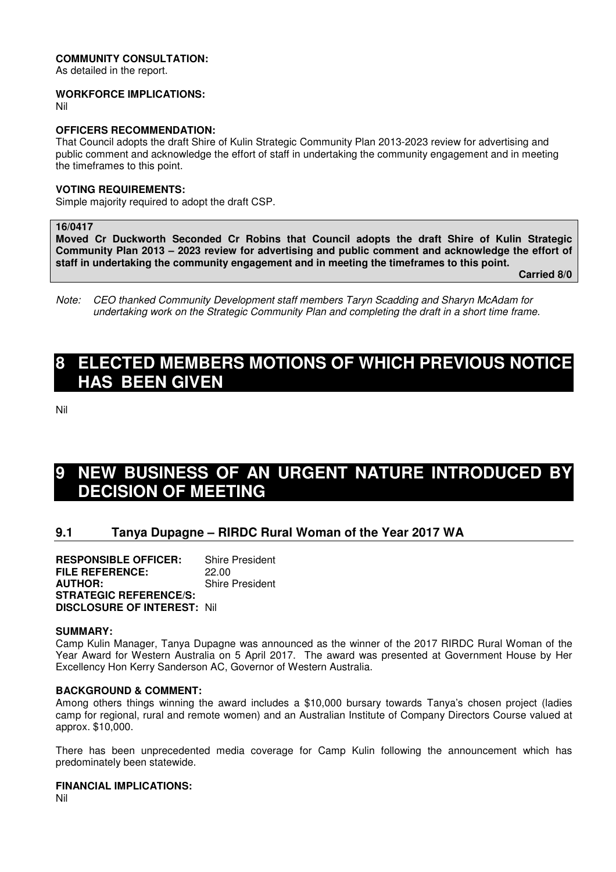#### **COMMUNITY CONSULTATION:**

As detailed in the report.

#### **WORKFORCE IMPLICATIONS:**

Nil

## **OFFICERS RECOMMENDATION:**

That Council adopts the draft Shire of Kulin Strategic Community Plan 2013-2023 review for advertising and public comment and acknowledge the effort of staff in undertaking the community engagement and in meeting the timeframes to this point.

#### **VOTING REQUIREMENTS:**

Simple majority required to adopt the draft CSP.

#### **16/0417**

**Moved Cr Duckworth Seconded Cr Robins that Council adopts the draft Shire of Kulin Strategic Community Plan 2013 – 2023 review for advertising and public comment and acknowledge the effort of staff in undertaking the community engagement and in meeting the timeframes to this point.** 

**Carried 8/0** 

*Note: CEO thanked Community Development staff members Taryn Scadding and Sharyn McAdam for undertaking work on the Strategic Community Plan and completing the draft in a short time frame.* 

# **8 ELECTED MEMBERS MOTIONS OF WHICH PREVIOUS NOTICE HAS BEEN GIVEN**

Nil

# **NEW BUSINESS OF AN URGENT NATURE INTRODUCED BY DECISION OF MEETING**

## **9.1 Tanya Dupagne – RIRDC Rural Woman of the Year 2017 WA**

**RESPONSIBLE OFFICER:** Shire President **FILE REFERENCE:** 22.00<br>**AUTHOR:** Shire **Shire President STRATEGIC REFERENCE/S: DISCLOSURE OF INTEREST:** Nil

#### **SUMMARY:**

Camp Kulin Manager, Tanya Dupagne was announced as the winner of the 2017 RIRDC Rural Woman of the Year Award for Western Australia on 5 April 2017. The award was presented at Government House by Her Excellency Hon Kerry Sanderson AC, Governor of Western Australia.

#### **BACKGROUND & COMMENT:**

Among others things winning the award includes a \$10,000 bursary towards Tanya's chosen project (ladies camp for regional, rural and remote women) and an Australian Institute of Company Directors Course valued at approx. \$10,000.

There has been unprecedented media coverage for Camp Kulin following the announcement which has predominately been statewide.

#### **FINANCIAL IMPLICATIONS:**

Nil